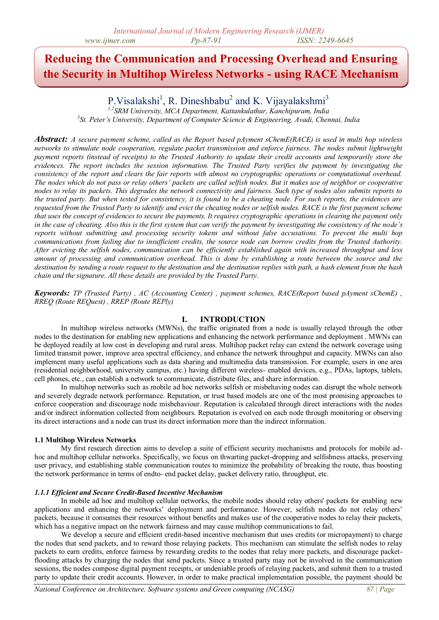# **Reducing the Communication and Processing Overhead and Ensuring the Security in Multihop Wireless Networks - using RACE Mechanism**

P. Visalakshi<sup>1</sup>, R. Dineshbabu<sup>2</sup> and K. Vijayalakshmi<sup>3</sup>

*1,2SRM University, MCA Department, Kattankulathur, Kanchipuram, India 3 St. Peter's University, Department of Computer Science & Engineering, Avadi, Chennai, India*

*Abstract: A secure payment scheme, called as the Report based pAyment sChemE(RACE) is used in multi hop wireless networks to stimulate node cooperation, regulate packet transmission and enforce fairness. The nodes submit lightweight payment reports (instead of receipts) to the Trusted Authority to update their credit accounts and temporarily store the evidences. The report includes the session information. The Trusted Party verifies the payment by investigating the consistency of the report and clears the fair reports with almost no cryptographic operations or computational overhead. The nodes which do not pass or relay others' packets are called selfish nodes. But it makes use of neighbor or cooperative nodes to relay its packets. This degrades the network connectivity and fairness. Such type of nodes also submits reports to the trusted party. But when tested for consistency, it is found to be a cheating node. For such reports, the evidences are requested from the Trusted Party to identify and evict the cheating nodes or selfish nodes. RACE is the first payment scheme that uses the concept of evidences to secure the payments. It requires cryptographic operations in clearing the payment only in the case of cheating. Also this is the first system that can verify the payment by investigating the consistency of the node's reports without submitting and processing security tokens and without false accusations. To prevent the multi hop communications from failing due to insufficient credits, the source node can borrow credits from the Trusted Authority. After evicting the selfish nodes, communication can be efficiently established again with increased throughput and less amount of processing and communication overhead. This is done by establishing a route between the source and the destination by sending a route request to the destination and the destination replies with path, a hash element from the hash chain and the signature. All these details are provided by the Trusted Party.*

*Keywords: TP (Trusted Party) , AC (Accounting Center) , payment schemes, RACE(Report based pAyment sChemE) , RREQ (Route REQuest) , RREP (Route REPly)*

## **I. INTRODUCTION**

In multihop wireless networks (MWNs), the traffic originated from a node is usually relayed through the other nodes to the destination for enabling new applications and enhancing the network performance and deployment . MWNs can be deployed readily at low cost in developing and rural areas. Multihop packet relay can extend the network coverage using limited transmit power, improve area spectral efficiency, and enhance the network throughput and capacity. MWNs can also implement many useful applications such as data sharing and multimedia data transmission. For example, users in one area (residential neighborhood, university campus, etc.) having different wireless- enabled devices, e.g., PDAs, laptops, tablets, cell phones, etc., can establish a network to communicate, distribute files, and share information.

In multihop networks such as mobile ad hoc networks selfish or misbehaving nodes can disrupt the whole network and severely degrade network performance. Reputation, or trust based models are one of the most promising approaches to enforce cooperation and discourage node misbehaviour. Reputation is calculated through direct interactions with the nodes and/or indirect information collected from neighbours. Reputation is evolved on each node through monitoring or observing its direct interactions and a node can trust its direct information more than the indirect information.

## **1.1 Multihop Wireless Networks**

My first research direction aims to develop a suite of efficient security mechanisms and protocols for mobile adhoc and multihop cellular networks. Specifically, we focus on thwarting packet-dropping and selfishness attacks, preserving user privacy, and establishing stable communication routes to minimize the probability of breaking the route, thus boosting the network performance in terms of endto- end packet delay, packet delivery ratio, throughput, etc.

## *1.1.1 Efficient and Secure Credit-Based Incentive Mechanism*

In mobile ad hoc and multihop cellular networks, the mobile nodes should relay others' packets for enabling new applications and enhancing the networks' deployment and performance. However, selfish nodes do not relay others' packets, because it consumes their resources without benefits and makes use of the cooperative nodes to relay their packets, which has a negative impact on the network fairness and may cause multihop communications to fail.

We develop a secure and efficient credit-based incentive mechanism that uses credits (or micropayment) to charge the nodes that send packets, and to reward those relaying packets. This mechanism can stimulate the selfish nodes to relay packets to earn credits, enforce fairness by rewarding credits to the nodes that relay more packets, and discourage packetflooding attacks by charging the nodes that send packets. Since a trusted party may not be involved in the communication sessions, the nodes compose digital payment receipts, or undeniable proofs of relaying packets, and submit them to a trusted party to update their credit accounts. However, in order to make practical implementation possible, the payment should be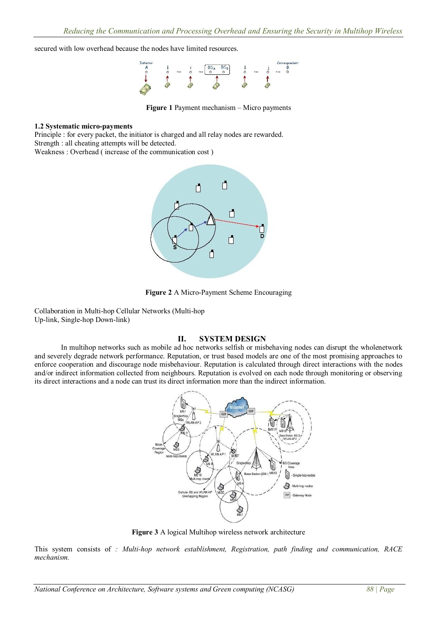secured with low overhead because the nodes have limited resources.



**Figure 1** Payment mechanism – Micro payments

### **1.2 Systematic micro-payments**

Principle : for every packet, the initiator is charged and all relay nodes are rewarded. Strength : all cheating attempts will be detected.

Weakness : Overhead ( increase of the communication cost )



**Figure 2** A Micro-Payment Scheme Encouraging

Collaboration in Multi-hop Cellular Networks (Multi-hop Up-link, Single-hop Down-link)

## **II. SYSTEM DESIGN**

In multihop networks such as mobile ad hoc networks selfish or misbehaving nodes can disrupt the wholenetwork and severely degrade network performance. Reputation, or trust based models are one of the most promising approaches to enforce cooperation and discourage node misbehaviour. Reputation is calculated through direct interactions with the nodes and/or indirect information collected from neighbours. Reputation is evolved on each node through monitoring or observing its direct interactions and a node can trust its direct information more than the indirect information.



**Figure 3** A logical Multihop wireless network architecture

This system consists of *: Multi-hop network establishment, Registration, path finding and communication, RACE mechanism.*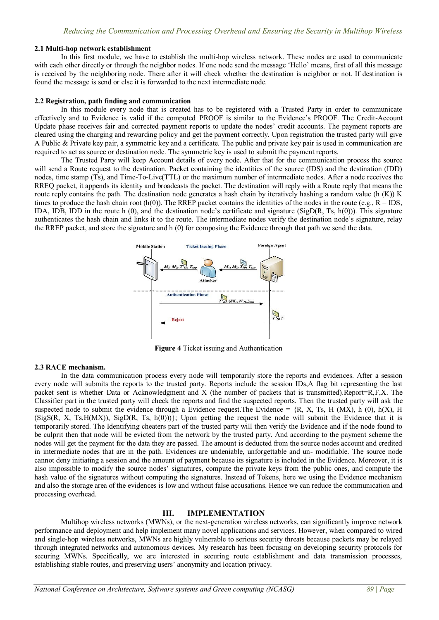## **2.1 Multi-hop network establishment**

In this first module, we have to establish the multi-hop wireless network. These nodes are used to communicate with each other directly or through the neighbor nodes. If one node send the message "Hello" means, first of all this message is received by the neighboring node. There after it will check whether the destination is neighbor or not. If destination is found the message is send or else it is forwarded to the next intermediate node.

#### **2.2 Registration, path finding and communication**

In this module every node that is created has to be registered with a Trusted Party in order to communicate effectively and to Evidence is valid if the computed PROOF is similar to the Evidence"s PROOF. The Credit-Account Update phase receives fair and corrected payment reports to update the nodes' credit accounts. The payment reports are cleared using the charging and rewarding policy and get the payment correctly. Upon registration the trusted party will give A Public & Private key pair, a symmetric key and a certificate. The public and private key pair is used in communication are required to act as source or destination node. The symmetric key is used to submit the payment reports.

The Trusted Party will keep Account details of every node. After that for the communication process the source will send a Route request to the destination. Packet containing the identities of the source (IDS) and the destination (IDD) nodes, time stamp (Ts), and Time-To-Live(TTL) or the maximum number of intermediate nodes. After a node receives the RREQ packet, it appends its identity and broadcasts the packet. The destination will reply with a Route reply that means the route reply contains the path. The destination node generates a hash chain by iteratively hashing a random value (h (K)) K times to produce the hash chain root (h(0)). The RREP packet contains the identities of the nodes in the route (e.g.,  $R = IDS$ , IDA, IDB, IDD in the route h  $(0)$ , and the destination node's certificate and signature (SigD(R, Ts, h(0))). This signature authenticates the hash chain and links it to the route. The intermediate nodes verify the destination node"s signature, relay the RREP packet, and store the signature and h (0) for composing the Evidence through that path we send the data.



**Figure 4** Ticket issuing and Authentication

## **2.3 RACE mechanism.**

In the data communication process every node will temporarily store the reports and evidences. After a session every node will submits the reports to the trusted party. Reports include the session IDs,A flag bit representing the last packet sent is whether Data or Acknowledgment and X (the number of packets that is transmitted).Report=R,F,X. The Classifier part in the trusted party will check the reports and find the suspected reports. Then the trusted party will ask the suspected node to submit the evidence through a Evidence request. The Evidence =  ${R, X, Ts, H (MX), h (0), h(X), H}$ (SigS(R, X, Ts, H(MX)), SigD(R, Ts, h(0)))}; Upon getting the request the node will submit the Evidence that it is temporarily stored. The Identifying cheaters part of the trusted party will then verify the Evidence and if the node found to be culprit then that node will be evicted from the network by the trusted party. And according to the payment scheme the nodes will get the payment for the data they are passed. The amount is deducted from the source nodes account and credited in intermediate nodes that are in the path. Evidences are undeniable, unforgettable and un- modifiable. The source node cannot deny initiating a session and the amount of payment because its signature is included in the Evidence. Moreover, it is also impossible to modify the source nodes" signatures, compute the private keys from the public ones, and compute the hash value of the signatures without computing the signatures. Instead of Tokens, here we using the Evidence mechanism and also the storage area of the evidences is low and without false accusations. Hence we can reduce the communication and processing overhead.

## **III. IMPLEMENTATION**

Multihop wireless networks (MWNs), or the next-generation wireless networks, can significantly improve network performance and deployment and help implement many novel applications and services. However, when compared to wired and single-hop wireless networks, MWNs are highly vulnerable to serious security threats because packets may be relayed through integrated networks and autonomous devices. My research has been focusing on developing security protocols for securing MWNs. Specifically, we are interested in securing route establishment and data transmission processes, establishing stable routes, and preserving users" anonymity and location privacy.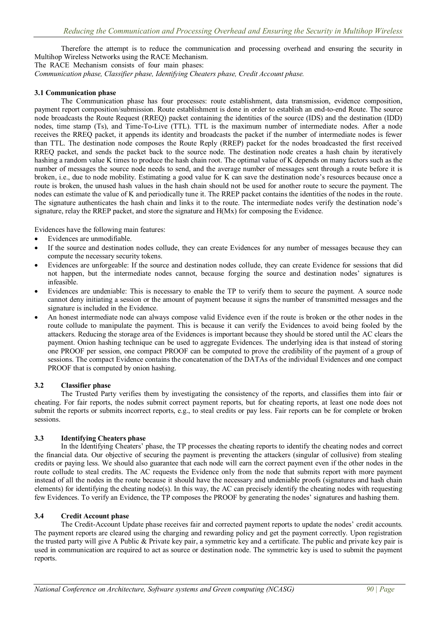Therefore the attempt is to reduce the communication and processing overhead and ensuring the security in Multihop Wireless Networks using the RACE Mechanism.

The RACE Mechanism consists of four main phases:

*Communication phase, Classifier phase, Identifying Cheaters phase, Credit Account phase.*

## **3.1 Communication phase**

The Communication phase has four processes: route establishment, data transmission, evidence composition, payment report composition/submission. Route establishment is done in order to establish an end-to-end Route. The source node broadcasts the Route Request (RREQ) packet containing the identities of the source (IDS) and the destination (IDD) nodes, time stamp (Ts), and Time-To-Live (TTL). TTL is the maximum number of intermediate nodes. After a node receives the RREQ packet, it appends its identity and broadcasts the packet if the number of intermediate nodes is fewer than TTL. The destination node composes the Route Reply (RREP) packet for the nodes broadcasted the first received RREQ packet, and sends the packet back to the source node. The destination node creates a hash chain by iteratively hashing a random value K times to produce the hash chain root. The optimal value of K depends on many factors such as the number of messages the source node needs to send, and the average number of messages sent through a route before it is broken, i.e., due to node mobility. Estimating a good value for K can save the destination node"s resources because once a route is broken, the unused hash values in the hash chain should not be used for another route to secure the payment. The nodes can estimate the value of K and periodically tune it. The RREP packet contains the identities of the nodes in the route. The signature authenticates the hash chain and links it to the route. The intermediate nodes verify the destination node"s signature, relay the RREP packet, and store the signature and H(Mx) for composing the Evidence.

Evidences have the following main features:

- Evidences are unmodifiable.
- If the source and destination nodes collude, they can create Evidences for any number of messages because they can compute the necessary security tokens.
- Evidences are unforgeable: If the source and destination nodes collude, they can create Evidence for sessions that did not happen, but the intermediate nodes cannot, because forging the source and destination nodes" signatures is infeasible.
- Evidences are undeniable: This is necessary to enable the TP to verify them to secure the payment. A source node cannot deny initiating a session or the amount of payment because it signs the number of transmitted messages and the signature is included in the Evidence.
- An honest intermediate node can always compose valid Evidence even if the route is broken or the other nodes in the route collude to manipulate the payment. This is because it can verify the Evidences to avoid being fooled by the attackers. Reducing the storage area of the Evidences is important because they should be stored until the AC clears the payment. Onion hashing technique can be used to aggregate Evidences. The underlying idea is that instead of storing one PROOF per session, one compact PROOF can be computed to prove the credibility of the payment of a group of sessions. The compact Evidence contains the concatenation of the DATAs of the individual Evidences and one compact PROOF that is computed by onion hashing.

#### **3.2 Classifier phase**

The Trusted Party verifies them by investigating the consistency of the reports, and classifies them into fair or cheating. For fair reports, the nodes submit correct payment reports, but for cheating reports, at least one node does not submit the reports or submits incorrect reports, e.g., to steal credits or pay less. Fair reports can be for complete or broken sessions.

## **3.3 Identifying Cheaters phase**

In the Identifying Cheaters" phase, the TP processes the cheating reports to identify the cheating nodes and correct the financial data. Our objective of securing the payment is preventing the attackers (singular of collusive) from stealing credits or paying less. We should also guarantee that each node will earn the correct payment even if the other nodes in the route collude to steal credits. The AC requests the Evidence only from the node that submits report with more payment instead of all the nodes in the route because it should have the necessary and undeniable proofs (signatures and hash chain elements) for identifying the cheating node(s). In this way, the AC can precisely identify the cheating nodes with requesting few Evidences. To verify an Evidence, the TP composes the PROOF by generating the nodes" signatures and hashing them.

#### **3.4 Credit Account phase**

The Credit-Account Update phase receives fair and corrected payment reports to update the nodes" credit accounts. The payment reports are cleared using the charging and rewarding policy and get the payment correctly. Upon registration the trusted party will give A Public & Private key pair, a symmetric key and a certificate. The public and private key pair is used in communication are required to act as source or destination node. The symmetric key is used to submit the payment reports.